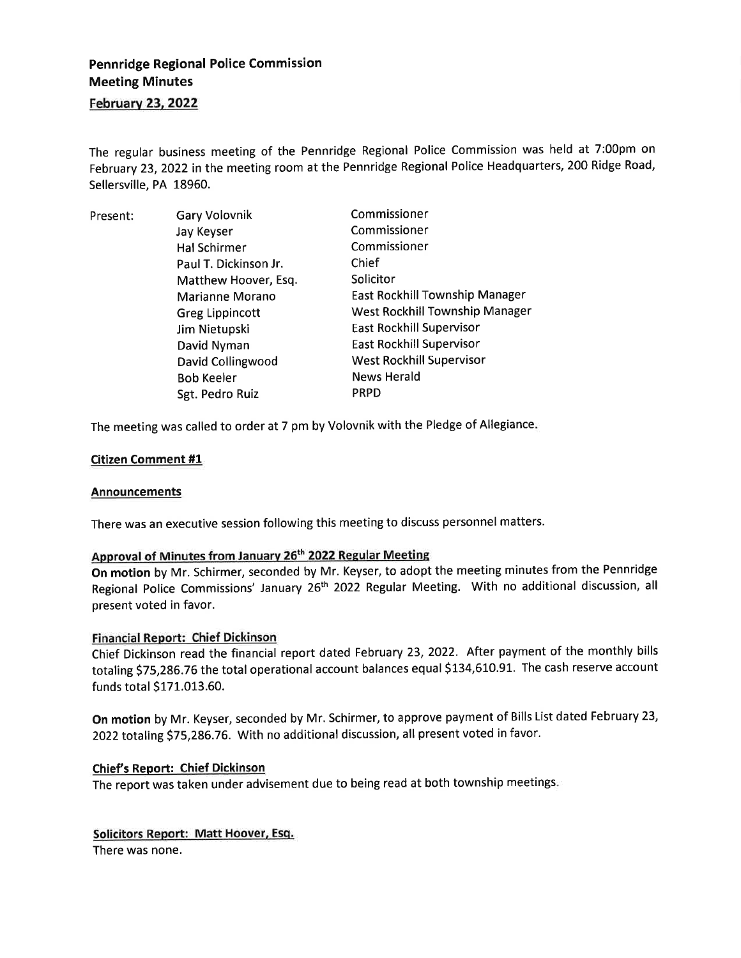# Pennridge Regional Police Commission Meeting Minutes

# February 23, 2022

The regular business meeting of the Pennridge Regional Police Commission was held at 7:00pm on February 23, 2022 in the meeting room at the Pennridge Regional Police Headquarters, 200 Ridge Road, Sellersville, PA 18960.

| Present: | <b>Gary Volovnik</b>   | Commissioner                          |
|----------|------------------------|---------------------------------------|
|          | Jay Keyser             | Commissioner                          |
|          | Hal Schirmer           | Commissioner                          |
|          | Paul T. Dickinson Jr.  | Chief                                 |
|          | Matthew Hoover, Esq.   | Solicitor                             |
|          | Marianne Morano        | <b>East Rockhill Township Manager</b> |
|          | <b>Greg Lippincott</b> | West Rockhill Township Manager        |
|          | Jim Nietupski          | East Rockhill Supervisor              |
|          | David Nyman            | East Rockhill Supervisor              |
|          | David Collingwood      | <b>West Rockhill Supervisor</b>       |
|          | <b>Bob Keeler</b>      | <b>News Herald</b>                    |
|          | Sgt. Pedro Ruiz        | <b>PRPD</b>                           |

The meeting was called to order at 7 pm by Volovnik with the Pledge of Allegiance

## Citizen Comment #1

#### **Announcements**

There was an executive session following this meeting to discuss personnel matters.

# Approval of Minutes from January 26<sup>th</sup> 2022 Regular Meeting

On motion by Mr. Schirmer, seconded by Mr. Keyser, to adopt the meeting minutes from the Pennridge Regional Police Commissions' January 26<sup>th</sup> 2022 Regular Meeting. With no additional discussion, all present voted in favor.

#### Financial Report: Chief Dickinson

Chief Dickinson read the financial report dated February 23,2022. Atter payment of the monthly bills totaling 575,286.76 the total operational account balances equal \$134,610.91. The cash reserve account funds total \$171.013.60.

On motion by Mr. Keyser, seconded by Mr. Schirmer, to approve payment of Bills List dated February 23, 2022 totaling \$75,286.76. With no additional discussion, all present voted in favor.

#### Chief's Report: Chief Dickinson

The report was taken under advisement due to being read at both township meetings

# Solicitors Report: Matt Hoover, Esq.

There was none.